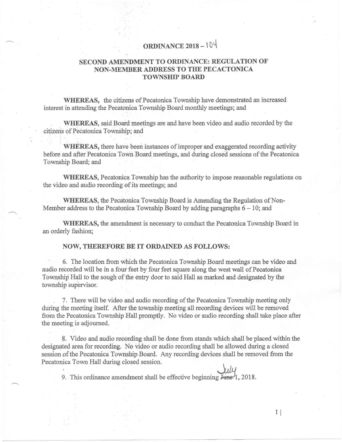## ORDINANCE  $2018 - 104$

## SECOND AMENDMENT TO ORDINANCE: REGULATION OF NON-MEMBER ADDRESS TO THE PECACTONlCA TOWNSHIP BOARD

WHEREAS, the citizens of Pecatonica Township have demonstrated an increased interest in attending the Pecatonica Township Board monthly meetings; and

WHEREAS, said Board meetings are and have been video and audio recorded by the citizens of Pecatonica Township; and' <sup>1</sup> I. .'.

WHEREAS, there have been instances of improper and exaggerated recording activity before' and after Pecatonica Town Board meetings, and during closed sessions of the Pecatonica Township Board; and

WHEREAS, Pecatonica Township has the authority to impose reasonable regulations on the video and audio recording of its meetings; and

WHEREAS, the Pecatonica Township Board is Amending the Regulation of Non-Member address to the Pecatonica Township Board by adding paragraphs  $6 - 10$ ; and

WHEREAS, the amendment is necessary to conduct the Pecatonica Township Board in an orderly fashion;

## NOW, THEREFORE BE IT ORDAINED AS FOLLOWS:

, ,

6. The location from which the Pecatonica Township Board meetings can be video and audio recorded will be in afour feet by four feet square along the west wall of Pecatonica Township Hall to the sough of the entry door to said Hall as marked and designated by the township supervisor.

7. There will be video and audio recording of the Pecatonica Township meeting only during the meeting itself. After the township meeting all recording devices will be removed from the Pecatonica Township Hall promptly. No video or audio recording shall take place after the meeting is adjourned.

8. Video and audio recording shall be done from stands which shall be placed within the designated area for recording. 'No video or audio recording shall be allowed during a closed session of the Pecatonica Township Board. Any recording devices shall be removed from the Pecatonica Town Hall during closed session.

9. This ordinance amendment shall be effective beginning  $\overline{\mu}_{\text{me}}/1$ , 2018.